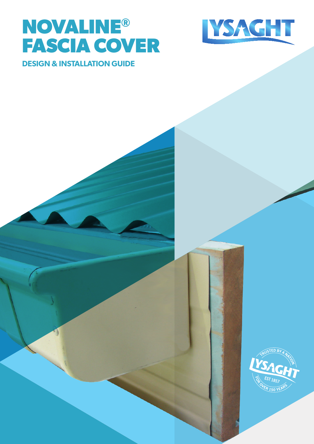# **NOVALINE® FASCIA COVER**



### **DESIGN & INSTALLATION GUIDE**

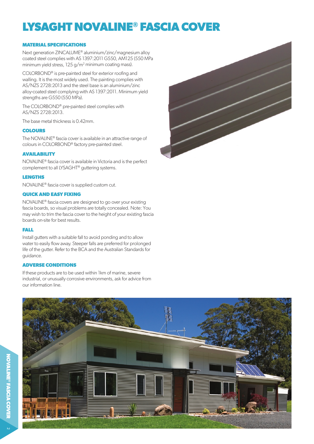# **LYSAGHT NOVALINE® FASCIA COVER**

#### **MATERIAL SPECIFICATIONS**

Next generation ZINCALUME® aluminium/zinc/magnesium alloy coated steel complies with AS 1397:2011 G550, AM125 (550 MPa minimum yield stress, 125 g/m2 minimum coating mass).

COLORBOND® is pre-painted steel for exterior roofing and walling. It is the most widely used. The painting complies with AS/NZS 2728:2013 and the steel base is an aluminium/zinc alloy-coated steel complying with AS 1397:2011. Minimum yield strengths are G550 (550 MPa).

The COLORBOND® pre-painted steel complies with AS/NZS 2728:2013.

The base metal thickness is 0.42mm.

#### **COLOURS**

The NOVALINE® fascia cover is available in an attractive range of colours in COLORBOND® factory pre-painted steel.

#### **AVAILABILITY**

NOVALINE® fascia cover is available in Victoria and is the perfect complement to all LYSAGHT® guttering systems.

#### **LENGTHS**

NOVALINE® fascia cover is supplied custom cut.

#### **QUICK AND EASY FIXING**

NOVALINE® fascia covers are designed to go over your existing fascia boards, so visual problems are totally concealed. Note: You may wish to trim the fascia cover to the height of your existing fascia boards on-site for best results.

#### **FALL**

Install gutters with a suitable fall to avoid ponding and to allow water to easily flow away. Steeper falls are preferred for prolonged life of the gutter. Refer to the BCA and the Australian Standards for guidance.

#### **ADVERSE CONDITIONS**

If these products are to be used within 1km of marine, severe industrial, or unusually corrosive environments, ask for advice from our information line.



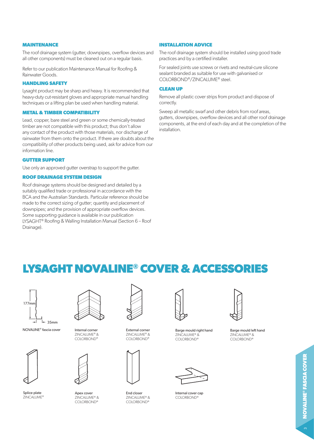#### **MAINTENANCE**

The roof drainage system (gutter, downpipes, overflow devices and all other components) must be cleaned out on a regular basis.

Refer to our publication Maintenance Manual for Roofing & Rainwater Goods.

#### **HANDLING SAFETY**

Lysaght product may be sharp and heavy. It is recommended that heavy-duty cut-resistant gloves and appropriate manual handling techniques or a lifting plan be used when handling material.

#### **METAL & TIMBER COMPATIBILITY**

Lead, copper, bare steel and green or some chemically-treated timber are not compatible with this product; thus don't allow any contact of the product with those materials, nor discharge of rainwater from them onto the product. If there are doubts about the compatibility of other products being used, ask for advice from our information line.

#### **GUTTER SUPPORT**

Use only an approved gutter overstrap to support the gutter.

#### **ROOF DRAINAGE SYSTEM DESIGN**

Roof drainage systems should be designed and detailed by a suitably qualified trade or professional in accordance with the BCA and the Australian Standards. Particular reference should be made to the correct sizing of gutter; quantity and placement of downpipes; and the provision of appropriate overflow devices. Some supporting guidance is available in our publication LYSAGHT® Roofing & Walling Installation Manual (Section 6 – Roof Drainage).

#### **INSTALLATION ADVICE**

The roof drainage system should be installed using good trade practices and by a certified installer.

For sealed joints use screws or rivets and neutral-cure silicone sealant branded as suitable for use with galvanised or COLORBOND®/ZINCALUME® steel.

#### **CLEAN UP**

Remove all plastic cover strips from product and dispose of correctly.

Sweep all metallic swarf and other debris from roof areas, gutters, downpipes, overflow devices and all other roof drainage components, at the end of each day and at the completion of the installation.

## **LYSAGHT NOVALINE® COVER & ACCESSORIES**

| $177$ mm |      |
|----------|------|
|          |      |
|          | 35mm |

NOVALINE® fascia cover



Splice plate ZINCALUME®



Internal corner ZINCALUME® & COLORBOND®



Apex cover ZINCALUME® & COLORBOND®



External corner ZINCALUME® & COLORBOND®



End closer ZINCALUME® & COLORBOND®



Barge mould right hand ZINCALUME® & COLORBOND®



Internal cover cap COLORBOND®



Barge mould left hand ZINCALUME® & COLORBOND®

 $\sim$